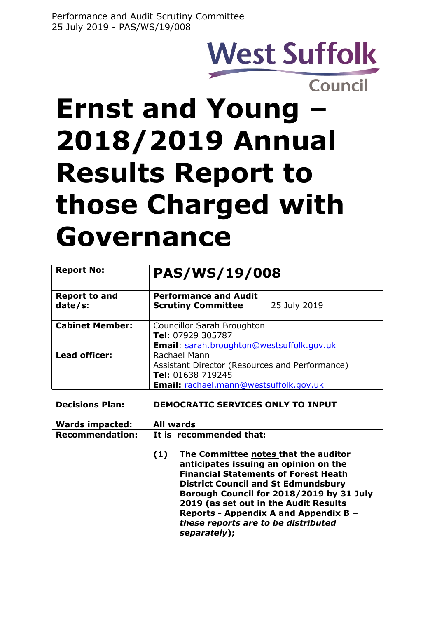# **West Suffolk** Council

**Ernst and Young – 2018/2019 Annual Results Report to those Charged with Governance**

| <b>Report No:</b>               | PAS/WS/19/008                                                                                                                        |              |
|---------------------------------|--------------------------------------------------------------------------------------------------------------------------------------|--------------|
| <b>Report to and</b><br>date/s: | <b>Performance and Audit</b><br><b>Scrutiny Committee</b>                                                                            | 25 July 2019 |
| <b>Cabinet Member:</b>          | Councillor Sarah Broughton<br>Tel: 07929 305787<br>Email: sarah.broughton@westsuffolk.gov.uk                                         |              |
| Lead officer:                   | Rachael Mann<br>Assistant Director (Resources and Performance)<br>Tel: 01638 719245<br><b>Email:</b> rachael.mann@westsuffolk.gov.uk |              |

**Decisions Plan: DEMOCRATIC SERVICES ONLY TO INPUT**

| <b>Wards impacted:</b> | All wards               |
|------------------------|-------------------------|
| <b>Recommendation:</b> | It is recommended that: |

**(1) The Committee notes that the auditor anticipates issuing an opinion on the Financial Statements of Forest Heath District Council and St Edmundsbury Borough Council for 2018/2019 by 31 July 2019 (as set out in the Audit Results Reports - Appendix A and Appendix B –** *these reports are to be distributed separately***);**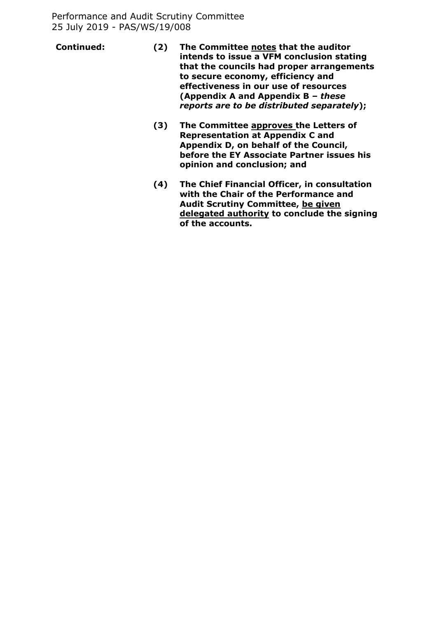- **Continued: (2) The Committee notes that the auditor intends to issue a VFM conclusion stating that the councils had proper arrangements to secure economy, efficiency and effectiveness in our use of resources (Appendix A and Appendix B –** *these reports are to be distributed separately***);**
	- **(3) The Committee approves the Letters of Representation at Appendix C and Appendix D, on behalf of the Council, before the EY Associate Partner issues his opinion and conclusion; and**
	- **(4) The Chief Financial Officer, in consultation with the Chair of the Performance and Audit Scrutiny Committee, be given delegated authority to conclude the signing of the accounts.**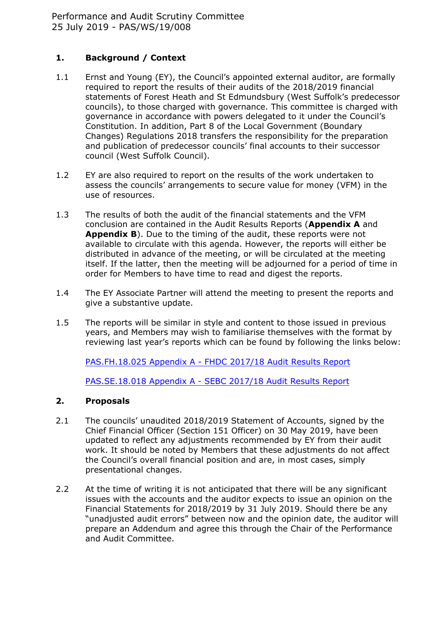## **1. Background / Context**

- 1.1 Ernst and Young (EY), the Council's appointed external auditor, are formally required to report the results of their audits of the 2018/2019 financial statements of Forest Heath and St Edmundsbury (West Suffolk's predecessor councils), to those charged with governance. This committee is charged with governance in accordance with powers delegated to it under the Council's Constitution. In addition, Part 8 of the Local Government (Boundary Changes) Regulations 2018 transfers the responsibility for the preparation and publication of predecessor councils' final accounts to their successor council (West Suffolk Council).
- 1.2 EY are also required to report on the results of the work undertaken to assess the councils' arrangements to secure value for money (VFM) in the use of resources.
- 1.3 The results of both the audit of the financial statements and the VFM conclusion are contained in the Audit Results Reports (**Appendix A** and **Appendix B**). Due to the timing of the audit, these reports were not available to circulate with this agenda. However, the reports will either be distributed in advance of the meeting, or will be circulated at the meeting itself. If the latter, then the meeting will be adjourned for a period of time in order for Members to have time to read and digest the reports.
- 1.4 The EY Associate Partner will attend the meeting to present the reports and give a substantive update.
- 1.5 The reports will be similar in style and content to those issued in previous years, and Members may wish to familiarise themselves with the format by reviewing last year's reports which can be found by following the links below:

[PAS.FH.18.025](https://democracy.westsuffolk.gov.uk/ieListDocuments.aspx?CId=167&MId=3981) Appendix A - FHDC 2017/18 Audit Results Report

[PAS.SE.18.018](https://democracy.westsuffolk.gov.uk/ieListDocuments.aspx?CId=173&MId=3980) Appendix A - SEBC 2017/18 Audit Results Report

## **2. Proposals**

- 2.1 The councils' unaudited 2018/2019 Statement of Accounts, signed by the Chief Financial Officer (Section 151 Officer) on 30 May 2019, have been updated to reflect any adjustments recommended by EY from their audit work. It should be noted by Members that these adjustments do not affect the Council's overall financial position and are, in most cases, simply presentational changes.
- 2.2 At the time of writing it is not anticipated that there will be any significant issues with the accounts and the auditor expects to issue an opinion on the Financial Statements for 2018/2019 by 31 July 2019. Should there be any "unadjusted audit errors" between now and the opinion date, the auditor will prepare an Addendum and agree this through the Chair of the Performance and Audit Committee.